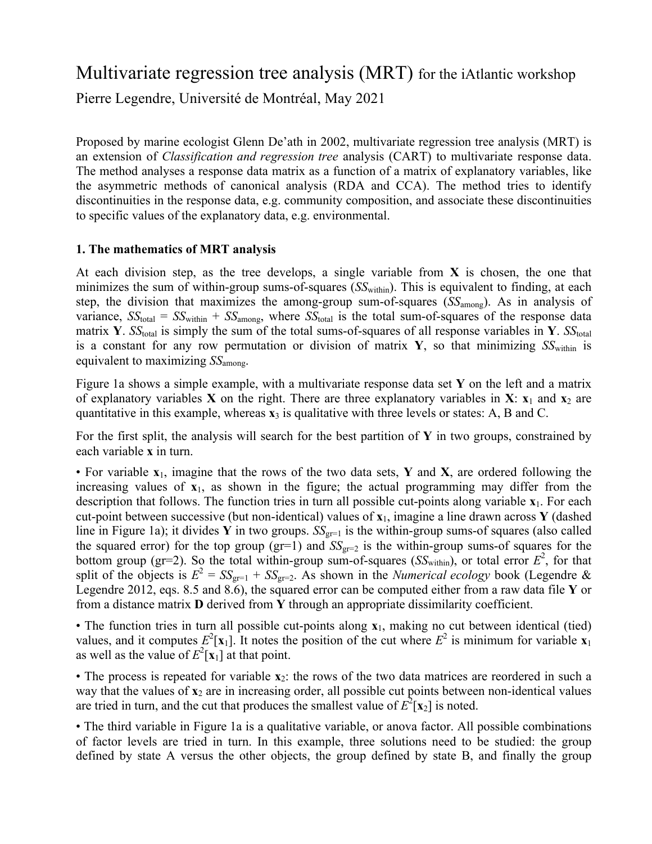# Multivariate regression tree analysis (MRT) for the iAtlantic workshop Pierre Legendre, Université de Montréal, May 2021

Proposed by marine ecologist Glenn De'ath in 2002, multivariate regression tree analysis (MRT) is an extension of *Classification and regression tree* analysis (CART) to multivariate response data. The method analyses a response data matrix as a function of a matrix of explanatory variables, like the asymmetric methods of canonical analysis (RDA and CCA). The method tries to identify discontinuities in the response data, e.g. community composition, and associate these discontinuities to specific values of the explanatory data, e.g. environmental.

### **1. The mathematics of MRT analysis**

At each division step, as the tree develops, a single variable from **X** is chosen, the one that minimizes the sum of within-group sums-of-squares (*SS*<sub>within</sub>). This is equivalent to finding, at each step, the division that maximizes the among-group sum-of-squares (*SS*among). As in analysis of variance,  $SS_{total} = SS_{within} + SS_{among}$ , where  $SS_{total}$  is the total sum-of-squares of the response data matrix **Y**. *SS*<sub>total</sub> is simply the sum of the total sums-of-squares of all response variables in **Y**. *SS*<sub>total</sub> is a constant for any row permutation or division of matrix  $\mathbf{Y}$ , so that minimizing  $SS_{within}$  is equivalent to maximizing *SS*among.

Figure 1a shows a simple example, with a multivariate response data set **Y** on the left and a matrix of explanatory variables **X** on the right. There are three explanatory variables in **X**:  $\mathbf{x}_1$  and  $\mathbf{x}_2$  are quantitative in this example, whereas  $\mathbf{x}_3$  is qualitative with three levels or states: A, B and C.

For the first split, the analysis will search for the best partition of **Y** in two groups, constrained by each variable **x** in turn.

• For variable **x**1, imagine that the rows of the two data sets, **Y** and **X**, are ordered following the increasing values of  $x_1$ , as shown in the figure; the actual programming may differ from the description that follows. The function tries in turn all possible cut-points along variable **x**1. For each cut-point between successive (but non-identical) values of **x**1, imagine a line drawn across **Y** (dashed line in Figure 1a); it divides **Y** in two groups.  $SS_{gr=1}$  is the within-group sums-of squares (also called the squared error) for the top group ( $gr=1$ ) and  $SS<sub>gr=2</sub>$  is the within-group sums-of squares for the bottom group (gr=2). So the total within-group sum-of-squares ( $SS_{within}$ ), or total error  $E^2$ , for that split of the objects is  $E^2 = SS_{gr=1} + SS_{gr=2}$ . As shown in the *Numerical ecology* book (Legendre & Legendre 2012, eqs. 8.5 and 8.6), the squared error can be computed either from a raw data file **Y** or from a distance matrix **D** derived from **Y** through an appropriate dissimilarity coefficient.

• The function tries in turn all possible cut-points along **x**1, making no cut between identical (tied) values, and it computes  $E^2$ [**x**<sub>1</sub>]. It notes the position of the cut where  $E^2$  is minimum for variable **x**<sub>1</sub> as well as the value of  $E^2[\mathbf{x}_1]$  at that point.

• The process is repeated for variable **x**<sub>2</sub>: the rows of the two data matrices are reordered in such a way that the values of  $x_2$  are in increasing order, all possible cut points between non-identical values are tried in turn, and the cut that produces the smallest value of  $E^2[\mathbf{x}_2]$  is noted.

• The third variable in Figure 1a is a qualitative variable, or anova factor. All possible combinations of factor levels are tried in turn. In this example, three solutions need to be studied: the group defined by state A versus the other objects, the group defined by state B, and finally the group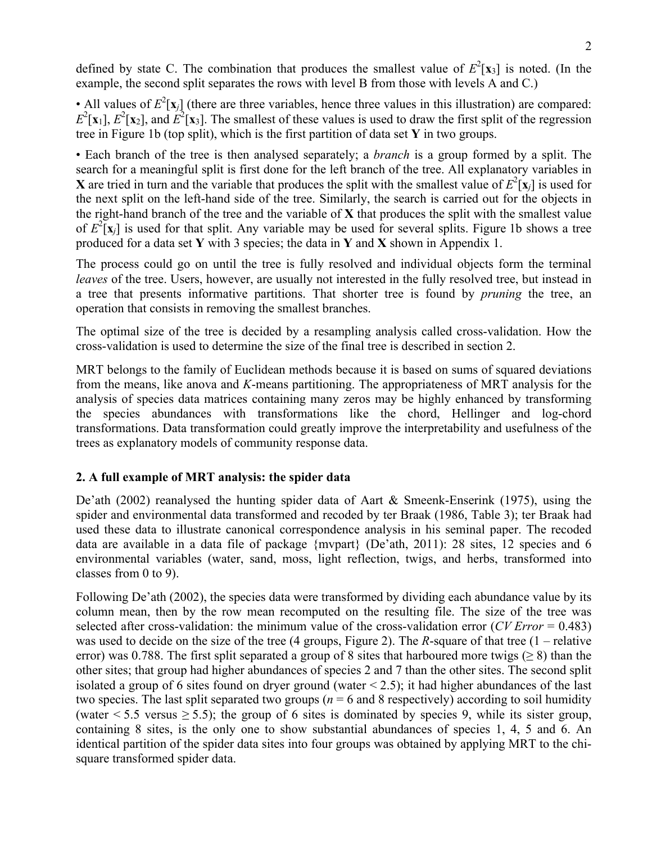• All values of  $E^2[\mathbf{x}_j]$  (there are three variables, hence three values in this illustration) are compared:  $E^2$ [**x**<sub>1</sub>],  $E^2$ [**x**<sub>2</sub>], and  $E^2$ [**x**<sub>3</sub>]. The smallest of these values is used to draw the first split of the regression tree in Figure 1b (top split), which is the first partition of data set **Y** in two groups.

• Each branch of the tree is then analysed separately; a *branch* is a group formed by a split. The search for a meaningful split is first done for the left branch of the tree. All explanatory variables in **X** are tried in turn and the variable that produces the split with the smallest value of  $E^2$ [**x**<sub>*j*</sub>] is used for the next split on the left-hand side of the tree. Similarly, the search is carried out for the objects in the right-hand branch of the tree and the variable of **X** that produces the split with the smallest value of  $E^2$ [**x**<sub>*j*</sub>] is used for that split. Any variable may be used for several splits. Figure 1b shows a tree produced for a data set **Y** with 3 species; the data in **Y** and **X** shown in Appendix 1.

The process could go on until the tree is fully resolved and individual objects form the terminal *leaves* of the tree. Users, however, are usually not interested in the fully resolved tree, but instead in a tree that presents informative partitions. That shorter tree is found by *pruning* the tree, an operation that consists in removing the smallest branches.

The optimal size of the tree is decided by a resampling analysis called cross-validation. How the cross-validation is used to determine the size of the final tree is described in section 2.

MRT belongs to the family of Euclidean methods because it is based on sums of squared deviations from the means, like anova and *K*-means partitioning. The appropriateness of MRT analysis for the analysis of species data matrices containing many zeros may be highly enhanced by transforming the species abundances with transformations like the chord, Hellinger and log-chord transformations. Data transformation could greatly improve the interpretability and usefulness of the trees as explanatory models of community response data.

## **2. A full example of MRT analysis: the spider data**

De'ath (2002) reanalysed the hunting spider data of Aart & Smeenk-Enserink (1975), using the spider and environmental data transformed and recoded by ter Braak (1986, Table 3); ter Braak had used these data to illustrate canonical correspondence analysis in his seminal paper. The recoded data are available in a data file of package {mvpart} (De'ath, 2011): 28 sites, 12 species and 6 environmental variables (water, sand, moss, light reflection, twigs, and herbs, transformed into classes from 0 to 9).

Following De'ath (2002), the species data were transformed by dividing each abundance value by its column mean, then by the row mean recomputed on the resulting file. The size of the tree was selected after cross-validation: the minimum value of the cross-validation error (*CV Error* = 0.483) was used to decide on the size of the tree (4 groups, Figure 2). The *R*-square of that tree (1 – relative error) was 0.788. The first split separated a group of 8 sites that harboured more twigs ( $\geq 8$ ) than the other sites; that group had higher abundances of species 2 and 7 than the other sites. The second split isolated a group of 6 sites found on dryer ground (water  $\leq$  2.5); it had higher abundances of the last two species. The last split separated two groups ( $n = 6$  and 8 respectively) according to soil humidity (water < 5.5 versus  $\ge$  5.5); the group of 6 sites is dominated by species 9, while its sister group, containing 8 sites, is the only one to show substantial abundances of species 1, 4, 5 and 6. An identical partition of the spider data sites into four groups was obtained by applying MRT to the chisquare transformed spider data.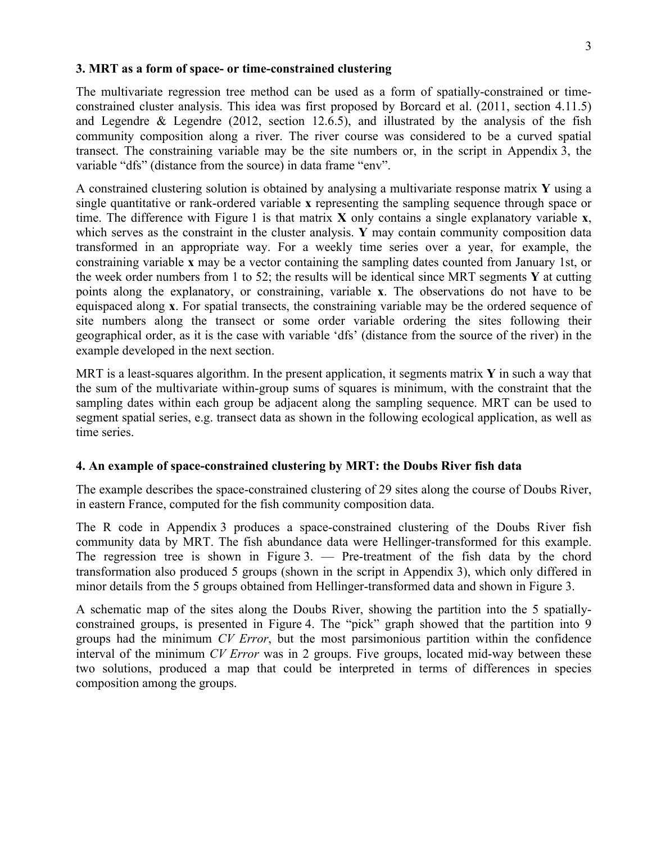#### **3. MRT as a form of space- or time-constrained clustering**

The multivariate regression tree method can be used as a form of spatially-constrained or timeconstrained cluster analysis. This idea was first proposed by Borcard et al. (2011, section 4.11.5) and Legendre  $\&$  Legendre (2012, section 12.6.5), and illustrated by the analysis of the fish community composition along a river. The river course was considered to be a curved spatial transect. The constraining variable may be the site numbers or, in the script in Appendix 3, the variable "dfs" (distance from the source) in data frame "env".

A constrained clustering solution is obtained by analysing a multivariate response matrix **Y** using a single quantitative or rank-ordered variable **x** representing the sampling sequence through space or time. The difference with Figure 1 is that matrix **X** only contains a single explanatory variable **x**, which serves as the constraint in the cluster analysis. **Y** may contain community composition data transformed in an appropriate way. For a weekly time series over a year, for example, the constraining variable **x** may be a vector containing the sampling dates counted from January 1st, or the week order numbers from 1 to 52; the results will be identical since MRT segments **Y** at cutting points along the explanatory, or constraining, variable **x**. The observations do not have to be equispaced along **x**. For spatial transects, the constraining variable may be the ordered sequence of site numbers along the transect or some order variable ordering the sites following their geographical order, as it is the case with variable 'dfs' (distance from the source of the river) in the example developed in the next section.

MRT is a least-squares algorithm. In the present application, it segments matrix **Y** in such a way that the sum of the multivariate within-group sums of squares is minimum, with the constraint that the sampling dates within each group be adjacent along the sampling sequence. MRT can be used to segment spatial series, e.g. transect data as shown in the following ecological application, as well as time series.

#### **4. An example of space-constrained clustering by MRT: the Doubs River fish data**

The example describes the space-constrained clustering of 29 sites along the course of Doubs River, in eastern France, computed for the fish community composition data.

The R code in Appendix 3 produces a space-constrained clustering of the Doubs River fish community data by MRT. The fish abundance data were Hellinger-transformed for this example. The regression tree is shown in Figure 3. — Pre-treatment of the fish data by the chord transformation also produced 5 groups (shown in the script in Appendix 3), which only differed in minor details from the 5 groups obtained from Hellinger-transformed data and shown in Figure 3.

A schematic map of the sites along the Doubs River, showing the partition into the 5 spatiallyconstrained groups, is presented in Figure 4. The "pick" graph showed that the partition into 9 groups had the minimum *CV Error*, but the most parsimonious partition within the confidence interval of the minimum *CV Error* was in 2 groups. Five groups, located mid-way between these two solutions, produced a map that could be interpreted in terms of differences in species composition among the groups.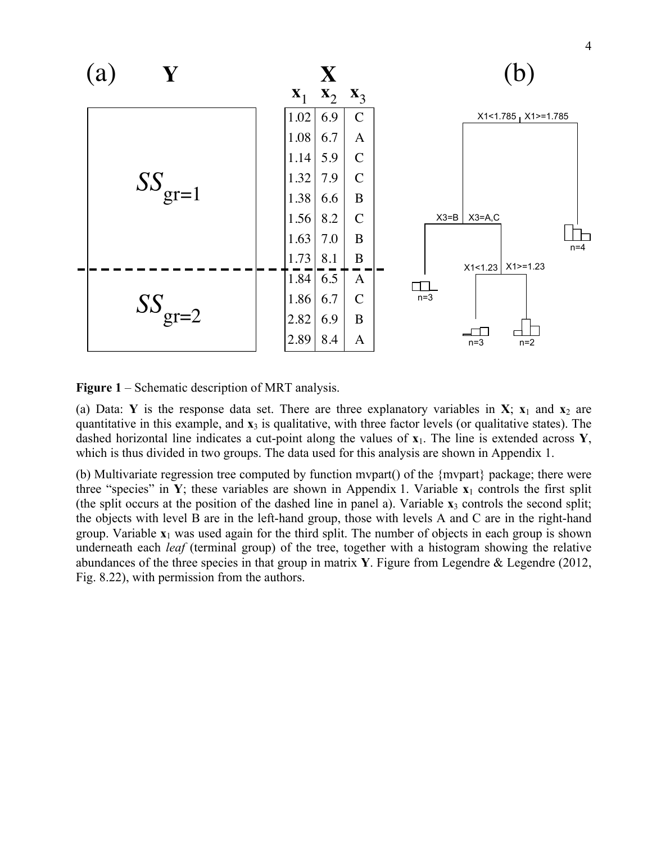

**Figure 1** – Schematic description of MRT analysis.

(a) Data: **Y** is the response data set. There are three explanatory variables in **X**;  $\mathbf{x}_1$  and  $\mathbf{x}_2$  are quantitative in this example, and **x**<sup>3</sup> is qualitative, with three factor levels (or qualitative states). The dashed horizontal line indicates a cut-point along the values of **x**1. The line is extended across **Y**, which is thus divided in two groups. The data used for this analysis are shown in Appendix 1.

(b) Multivariate regression tree computed by function mvpart() of the {mvpart} package; there were three "species" in **Y**; these variables are shown in Appendix 1. Variable  $\mathbf{x}_1$  controls the first split (the split occurs at the position of the dashed line in panel a). Variable **x**<sup>3</sup> controls the second split; the objects with level B are in the left-hand group, those with levels A and C are in the right-hand group. Variable  $\mathbf{x}_1$  was used again for the third split. The number of objects in each group is shown underneath each *leaf* (terminal group) of the tree, together with a histogram showing the relative abundances of the three species in that group in matrix **Y**. Figure from Legendre & Legendre (2012, Fig. 8.22), with permission from the authors.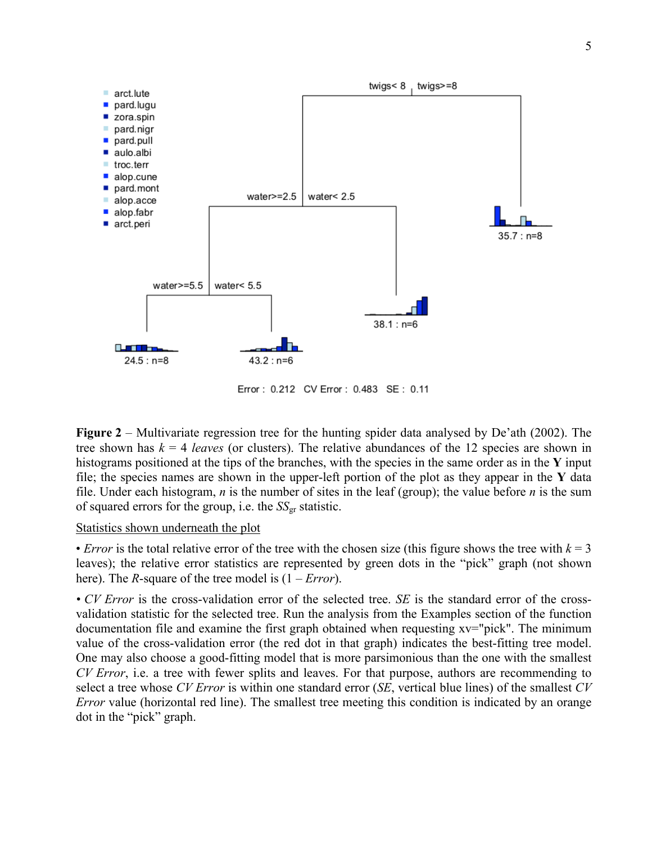

Error: 0.212 CV Error: 0.483 SE: 0.11

**Figure 2** – Multivariate regression tree for the hunting spider data analysed by De'ath (2002). The tree shown has  $k = 4$  *leaves* (or clusters). The relative abundances of the 12 species are shown in histograms positioned at the tips of the branches, with the species in the same order as in the **Y** input file; the species names are shown in the upper-left portion of the plot as they appear in the **Y** data file. Under each histogram, *n* is the number of sites in the leaf (group); the value before *n* is the sum of squared errors for the group, i.e. the *SS*<sub>gr</sub> statistic.

### Statistics shown underneath the plot

• *Error* is the total relative error of the tree with the chosen size (this figure shows the tree with  $k = 3$ ) leaves); the relative error statistics are represented by green dots in the "pick" graph (not shown here). The *R*-square of the tree model is (1 – *Error*).

*• CV Error* is the cross-validation error of the selected tree. *SE* is the standard error of the crossvalidation statistic for the selected tree. Run the analysis from the Examples section of the function documentation file and examine the first graph obtained when requesting xv="pick". The minimum value of the cross-validation error (the red dot in that graph) indicates the best-fitting tree model. One may also choose a good-fitting model that is more parsimonious than the one with the smallest *CV Error*, i.e. a tree with fewer splits and leaves. For that purpose, authors are recommending to select a tree whose *CV Error* is within one standard error (*SE*, vertical blue lines) of the smallest *CV Error* value (horizontal red line). The smallest tree meeting this condition is indicated by an orange dot in the "pick" graph.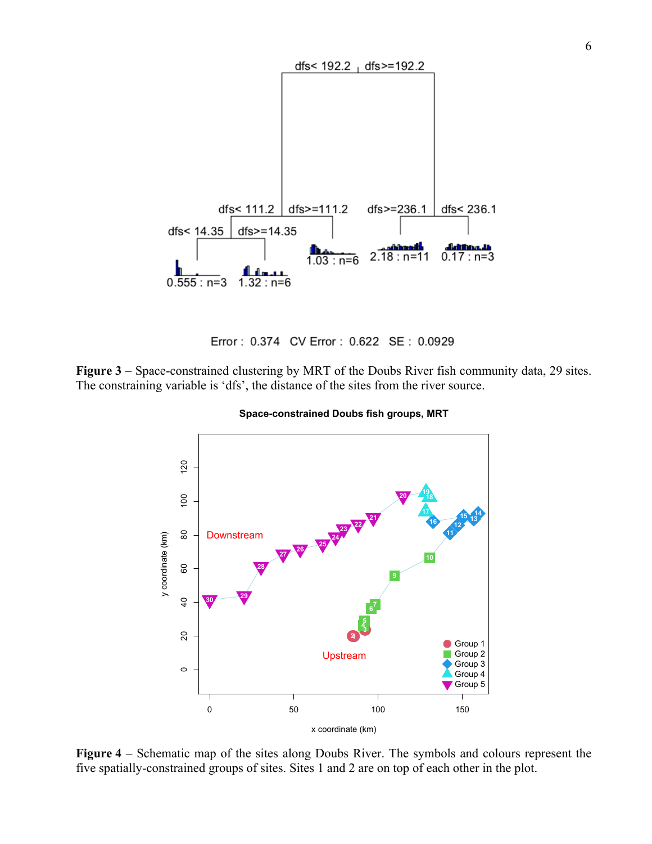

Error: 0.374 CV Error: 0.622 SE: 0.0929

**Figure 3** – Space-constrained clustering by MRT of the Doubs River fish community data, 29 sites. The constraining variable is 'dfs', the distance of the sites from the river source.





**Figure 4** – Schematic map of the sites along Doubs River. The symbols and colours represent the five spatially-constrained groups of sites. Sites 1 and 2 are on top of each other in the plot.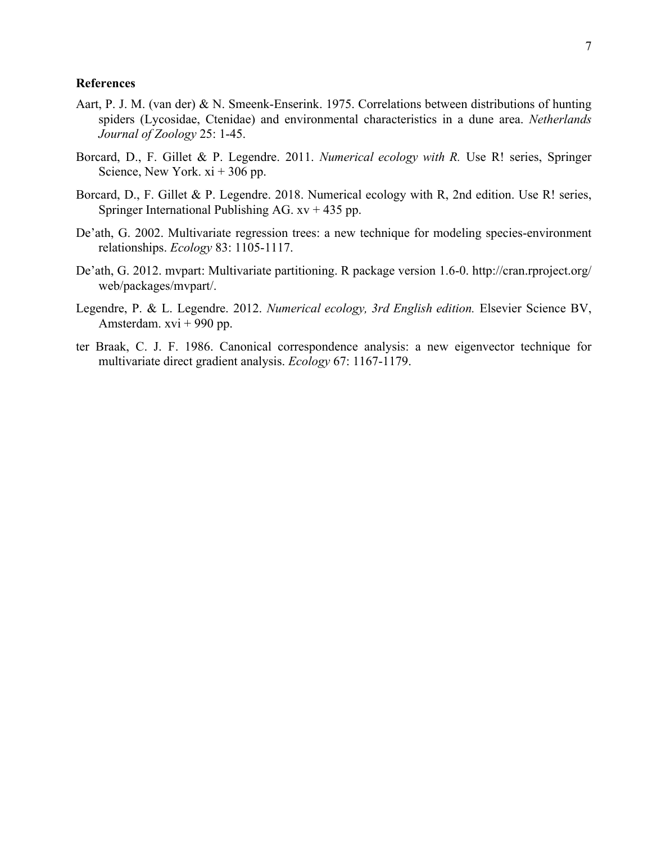### **References**

- Aart, P. J. M. (van der) & N. Smeenk-Enserink. 1975. Correlations between distributions of hunting spiders (Lycosidae, Ctenidae) and environmental characteristics in a dune area. *Netherlands Journal of Zoology* 25: 1-45.
- Borcard, D., F. Gillet & P. Legendre. 2011. *Numerical ecology with R.* Use R! series, Springer Science, New York. xi + 306 pp.
- Borcard, D., F. Gillet & P. Legendre. 2018. Numerical ecology with R, 2nd edition. Use R! series, Springer International Publishing AG.  $xy + 435$  pp.
- De'ath, G. 2002. Multivariate regression trees: a new technique for modeling species-environment relationships. *Ecology* 83: 1105-1117.
- De'ath, G. 2012. mvpart: Multivariate partitioning. R package version 1.6-0. http://cran.rproject.org/ web/packages/mvpart/.
- Legendre, P. & L. Legendre. 2012. *Numerical ecology, 3rd English edition.* Elsevier Science BV, Amsterdam. xvi + 990 pp.
- ter Braak, C. J. F. 1986. Canonical correspondence analysis: a new eigenvector technique for multivariate direct gradient analysis. *Ecology* 67: 1167-1179.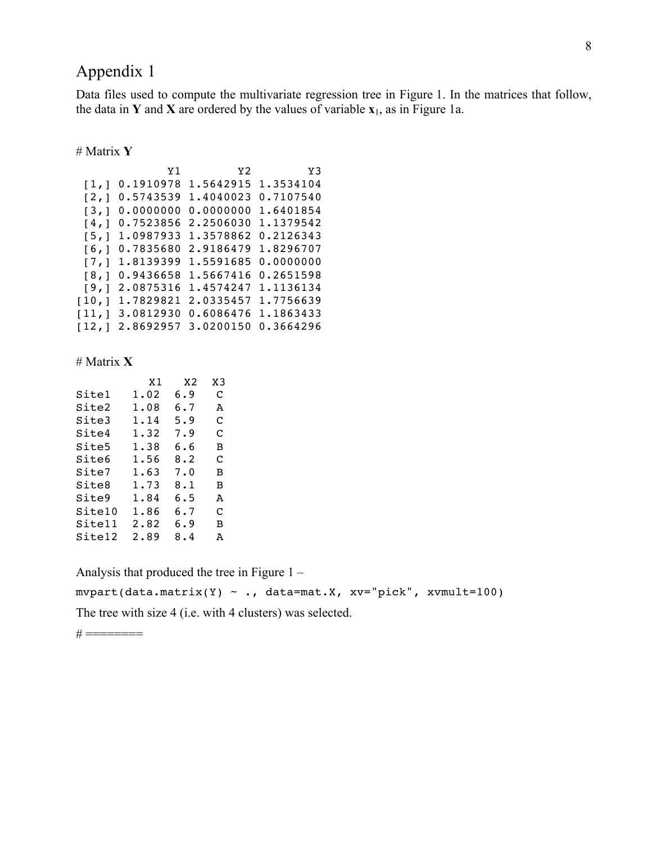Data files used to compute the multivariate regression tree in Figure 1. In the matrices that follow, the data in **Y** and **X** are ordered by the values of variable **x**1, as in Figure 1a.

### # Matrix **Y**

|                    | Y <sub>1</sub> | Y <sub>2</sub> | Y3        |
|--------------------|----------------|----------------|-----------|
| $\lceil 1, \rceil$ | 0.1910978      | 1.5642915      | 1.3534104 |
| [2,]               | 0.5743539      | 1.4040023      | 0.7107540 |
| [3,1               | 0.0000000      | 0.0000000      | 1.6401854 |
| [4,1]              | 0.7523856      | 2.2506030      | 1.1379542 |
| [5,1               | 1.0987933      | 1.3578862      | 0.2126343 |
| [6,1               | 0.7835680      | 2.9186479      | 1.8296707 |
| [7,1               | 1.8139399      | 1.5591685      | 0.0000000 |
| [8,1               | 0.9436658      | 1.5667416      | 0.2651598 |
| [9,]               | 2.0875316      | 1.4574247      | 1.1136134 |
| [10,1]             | 1.7829821      | 2.0335457      | 1.7756639 |
| [11,1]             | 3.0812930      | 0.6086476      | 1.1863433 |
| [12,1]             | 2.8692957      | 3.0200150      | 0.3664296 |

#### # Matrix **X**

|        | Χ1   | X2  | XЗ |
|--------|------|-----|----|
| Sitel  | 1.02 | 6.9 | C  |
| Site2  | 1.08 | 6.7 | А  |
| Site3  | 1.14 | 5.9 | C  |
| Site4  | 1.32 | 7.9 | C  |
| Site5  | 1.38 | რ.რ | в  |
| Site6  | 1.56 | 8.2 | C  |
| Site7  | 1.63 | 7.0 | в  |
| Site8  | 1.73 | 8.1 | в  |
| Site9  | 1.84 | 6.5 | A  |
| Site10 | 1.86 | 6.7 | C  |
| Site11 | 2.82 | 6.9 | в  |
| Site12 | 2.89 | 8.4 | А  |
|        |      |     |    |

Analysis that produced the tree in Figure 1 –

 $m\nu$ part(data.matrix(Y) ~ ., data=mat.X, xv="pick", xvmult=100)

The tree with size 4 (i.e. with 4 clusters) was selected.

 $# == == == ==$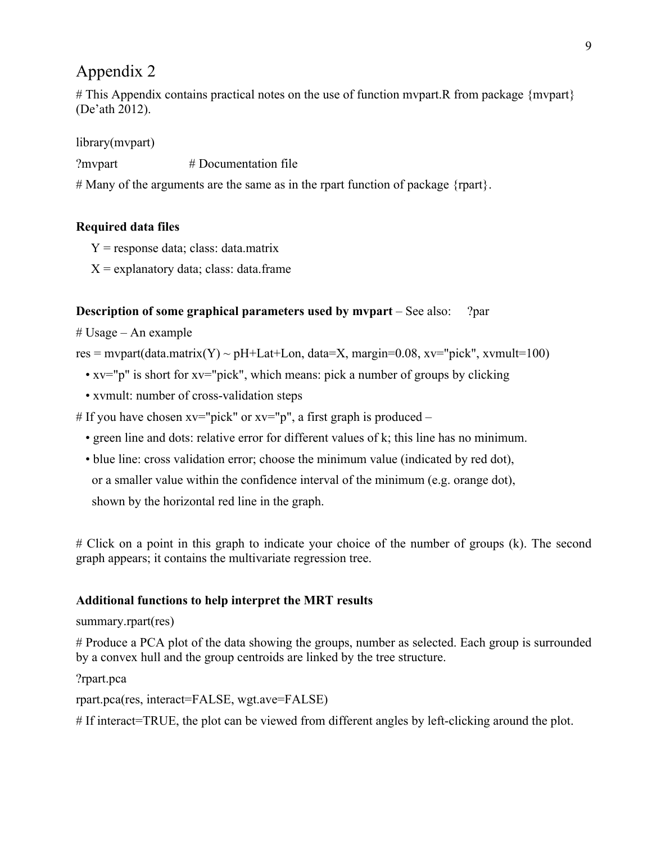# This Appendix contains practical notes on the use of function mvpart.R from package {mvpart} (De'ath 2012).

library(mvpart)

?mvpart # Documentation file

# Many of the arguments are the same as in the rpart function of package  ${rpart}.$ 

## **Required data files**

- $Y =$  response data; class: data.matrix
- $X =$  explanatory data; class: data.frame

## **Description of some graphical parameters used by mvpart** – See also: ?par

# Usage – An example

res = mypart(data.matrix(Y) ~ pH+Lat+Lon, data=X, margin=0.08, xv="pick", xvmult=100)

- xv="p" is short for xv="pick", which means: pick a number of groups by clicking
- xvmult: number of cross-validation steps

# If you have chosen  $xv="pick"$  or  $xv="p"$ , a first graph is produced –

- green line and dots: relative error for different values of k; this line has no minimum.
- blue line: cross validation error; choose the minimum value (indicated by red dot), or a smaller value within the confidence interval of the minimum (e.g. orange dot), shown by the horizontal red line in the graph.

# Click on a point in this graph to indicate your choice of the number of groups (k). The second graph appears; it contains the multivariate regression tree.

## **Additional functions to help interpret the MRT results**

### summary.rpart(res)

# Produce a PCA plot of the data showing the groups, number as selected. Each group is surrounded by a convex hull and the group centroids are linked by the tree structure.

### ?rpart.pca

rpart.pca(res, interact=FALSE, wgt.ave=FALSE)

# If interact=TRUE, the plot can be viewed from different angles by left-clicking around the plot.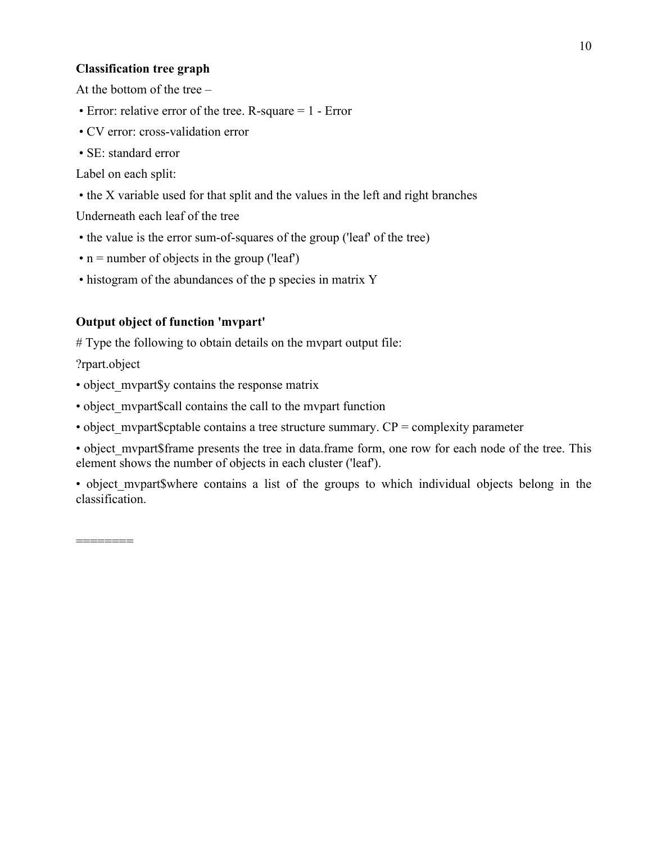### **Classification tree graph**

At the bottom of the tree –

- Error: relative error of the tree. R-square = 1 Error
- CV error: cross-validation error
- SE: standard error

Label on each split:

• the X variable used for that split and the values in the left and right branches

Underneath each leaf of the tree

- the value is the error sum-of-squares of the group ('leaf' of the tree)
- $\cdot$  n = number of objects in the group ('leaf')
- histogram of the abundances of the p species in matrix Y

## **Output object of function 'mvpart'**

# Type the following to obtain details on the mvpart output file:

?rpart.object

- object mypart\$y contains the response matrix
- object mypart\$call contains the call to the mypart function
- object mypart\$cptable contains a tree structure summary.  $CP =$  complexity parameter
- object mypart\$frame presents the tree in data.frame form, one row for each node of the tree. This element shows the number of objects in each cluster ('leaf').
- object mypart\$where contains a list of the groups to which individual objects belong in the classification.

========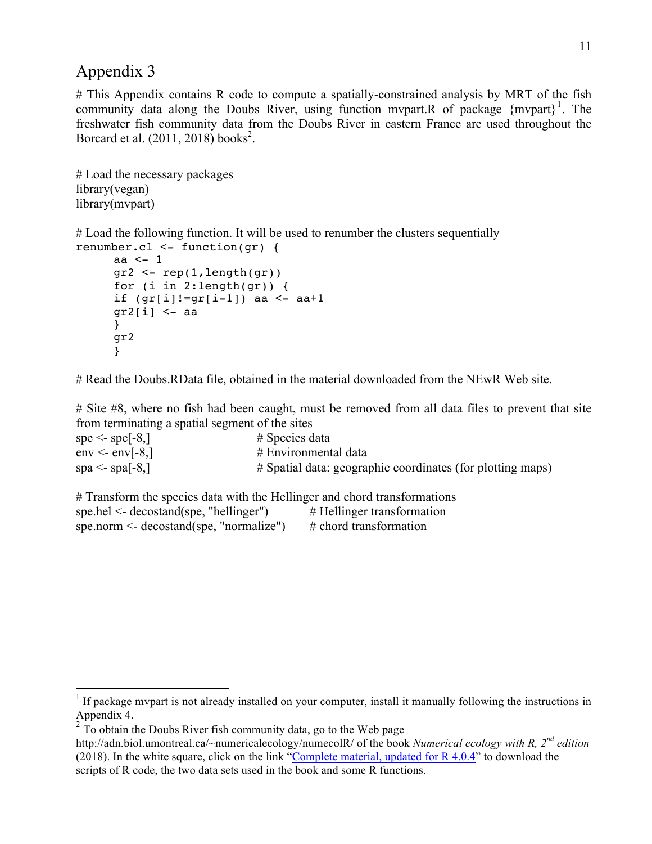# This Appendix contains R code to compute a spatially-constrained analysis by MRT of the fish community data along the Doubs River, using function mypart.R of package  ${mvpart}^1$ . The freshwater fish community data from the Doubs River in eastern France are used throughout the Borcard et al.  $(2011, 2018)$  books<sup>2</sup>.

```
# Load the necessary packages
library(vegan) 
library(mvpart)
```
# Load the following function. It will be used to renumber the clusters sequentially renumber.cl <- function(gr) {

```
aa <- 1
gr2 <- rep(1,length(gr))
for (i in 2:length(gr)) {
 if (gr[i]!=gr[i-1]) aa <- aa+1
gr2[i] <- aa
 }
gr2 
}
```
# Read the Doubs.RData file, obtained in the material downloaded from the NEwR Web site.

# Site #8, where no fish had been caught, must be removed from all data files to prevent that site from terminating a spatial segment of the sites

| spe $\le$ - spe[-8,]              | $\#$ Species data                                          |
|-----------------------------------|------------------------------------------------------------|
| $env \le env[-8]$                 | # Environmental data                                       |
| spa $\le$ - spa $\mid$ -8, $\mid$ | # Spatial data: geographic coordinates (for plotting maps) |

| # Transform the species data with the Hellinger and chord transformations |                              |
|---------------------------------------------------------------------------|------------------------------|
| $spe.hel \leq decostand(spe, "hellinger")$                                | $#$ Hellinger transformation |
| spe.norm $\leq$ decostand(spe, "normalize")                               | $\#$ chord transformation    |

 $1$  If package mypart is not already installed on your computer, install it manually following the instructions in Appendix 4.

<sup>&</sup>lt;sup>2</sup> To obtain the Doubs River fish community data, go to the Web page

http://adn.biol.umontreal.ca/~numericalecology/numecolR/ of the book *Numerical ecology with R, 2nd edition* (2018). In the white square, click on the link "Complete material, updated for  $R$  4.0.4" to download the scripts of R code, the two data sets used in the book and some R functions.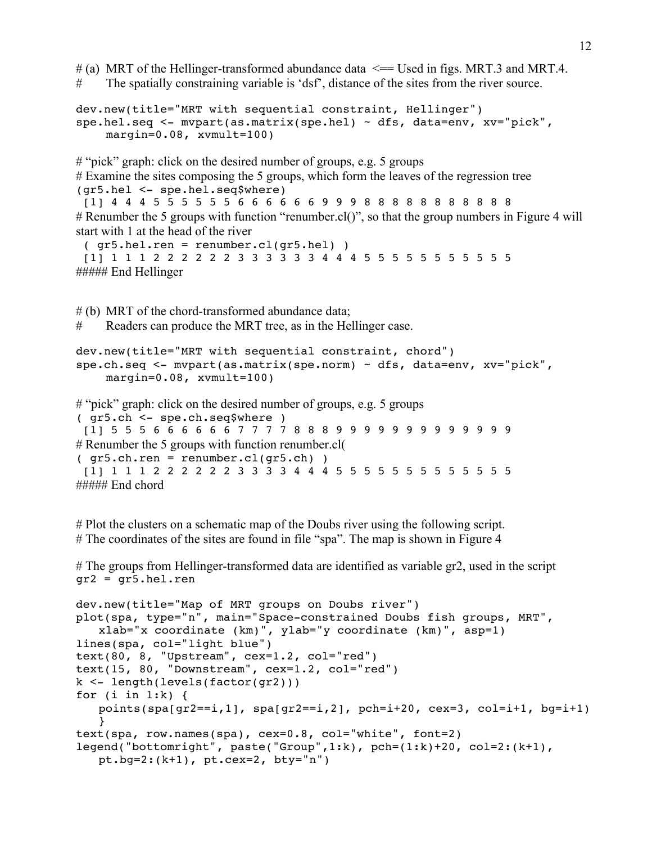$\#$  (a) MRT of the Hellinger-transformed abundance data  $\le$  = Used in figs. MRT.3 and MRT.4. # The spatially constraining variable is 'dsf', distance of the sites from the river source.

```
dev.new(title="MRT with sequential constraint, Hellinger")
spe.hel.seq <- mvpart(as.matrix(spe.hel) ~ dfs, data=env, xv="pick", 
    margin=0.08, xvmult=100)
```
# "pick" graph: click on the desired number of groups, e.g. 5 groups # Examine the sites composing the 5 groups, which form the leaves of the regression tree (gr5.hel <- spe.hel.seq\$where)

[1] 4 4 4 5 5 5 5 5 5 6 6 6 6 6 6 9 9 9 8 8 8 8 8 8 8 8 8 8 8 # Renumber the 5 groups with function "renumber.cl()", so that the group numbers in Figure 4 will start with 1 at the head of the river

```
( gr5.hel.ren = renumber.cl(gr5.hel) )
 [1] 1 1 1 2 2 2 2 2 2 3 3 3 3 3 3 4 4 4 5 5 5 5 5 5 5 5 5 5 5
##### End Hellinger
```
# (b) MRT of the chord-transformed abundance data;

# Readers can produce the MRT tree, as in the Hellinger case.

```
dev.new(title="MRT with sequential constraint, chord")
spe.ch.seq <- mvpart(as.matrix(spe.norm) ~ dfs, data=env, xv="pick", 
    margin=0.08, xvmult=100)
```

```
# "pick" graph: click on the desired number of groups, e.g. 5 groups
```

```
( gr5.ch <- spe.ch.seq$where )
[1] 5 5 5 6 6 6 6 6 6 7 7 7 7 8 8 8 9 9 9 9 9 9 9 9 9 9 9 9 9
# Renumber the 5 groups with function renumber.cl(
(qr5.ch.ren = renumber.cl(qr5.ch) )[1] 1 1 1 2 2 2 2 2 2 3 3 3 3 4 4 4 5 5 5 5 5 5 5 5 5 5 5 5 5
\# \# \# \# End chord
```
# Plot the clusters on a schematic map of the Doubs river using the following script. # The coordinates of the sites are found in file "spa". The map is shown in Figure 4

# The groups from Hellinger-transformed data are identified as variable gr2, used in the script gr2 = gr5.hel.ren

```
dev.new(title="Map of MRT groups on Doubs river")
plot(spa, type="n", main="Space-constrained Doubs fish groups, MRT", 
   xlab="x coordinate (km)", ylab="y coordinate (km)", asp=1)
lines(spa, col="light blue")
text(80, 8, "Upstream", cex=1.2, col="red")
text(15, 80, "Downstream", cex=1.2, col="red")
k <- length(levels(factor(gr2)))
for (i \text{ in } 1:k) {
   points(spa[gr2==i,1], spa[gr2==i,2], pch=i+20, cex=3, col=i+1, bg=i+1)
    }
text(spa, row.names(spa), cex=0.8, col="white", font=2)
legend("bottomright", paste("Group",1:k), pch=(1:k)+20, col=2:(k+1), 
   pt.bg=2:(k+1), pt.cex=2, bty="n")
```